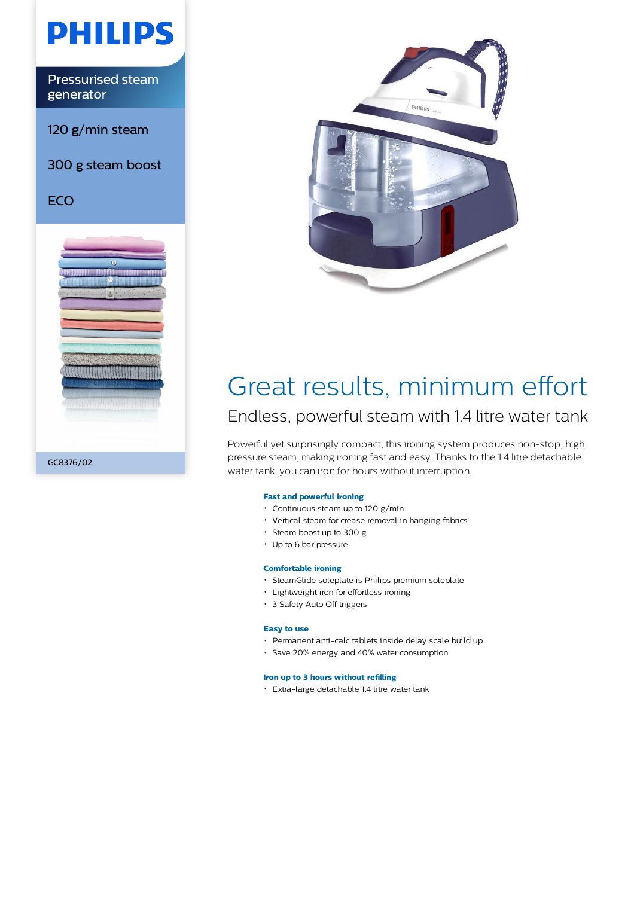

Pressurised steam generator

120 g/min steam

300 g steam boost

**ECO** 





## Great results, minimum effort Endless, powerful steam with 1.4 litre water tank

Powerful yet surprisingly compact, this ironing system produces non-stop, high pressure steam, making ironing fast and easy. Thanks to the 1.4 litre detachable water tank, you can iron for hours without interruption.

### **Fast and powerful ironing**

- $\cdot$  Continuous steam up to 120 g/min
- Vertical steam for crease removal in hanging fabrics
- Steam boost up to 300 g
- Up to 6 bar pressure

#### **Comfortable ironing**

- SteamGlide soleplate is Philips premium soleplate
- Lightweight iron for effortless ironing
- 3 Safety Auto Off triggers

#### **Easy to use**

- Permanent anti-calc tablets inside delay scale build up
- Save 20% energy and 40% water consumption

#### **Iron up to 3 hours without refilling**

Extra-large detachable 1.4 litre water tank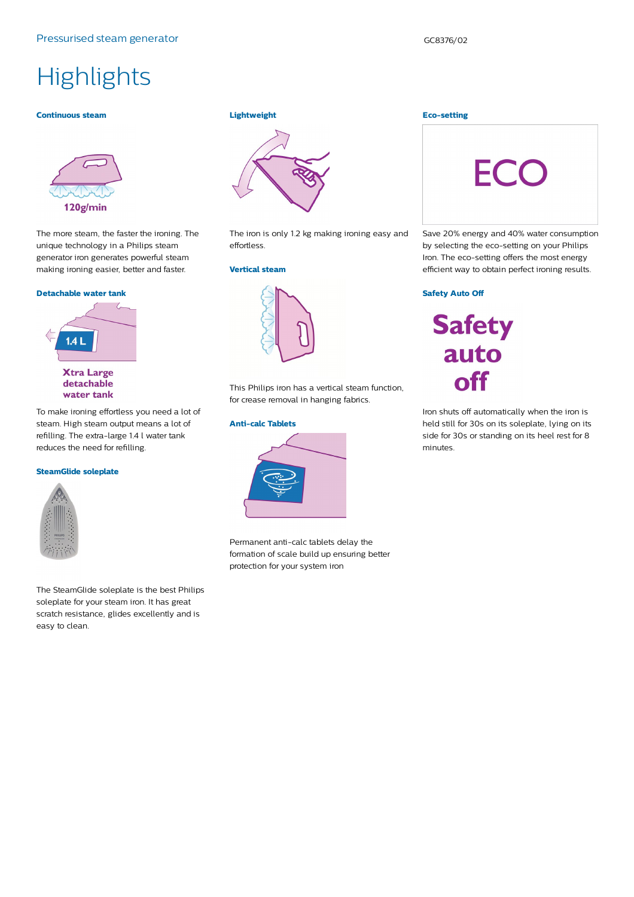# **Highlights**

#### **Continuous steam**



The more steam, the faster the ironing. The unique technology in a Philips steam generator iron generates powerful steam making ironing easier, better and faster.

#### **Detachable water tank**



To make ironing effortless you need a lot of steam. High steam output means a lot of refilling. The extra-large 1.4 l water tank reduces the need for refilling.

### **SteamGlide soleplate**



The SteamGlide soleplate is the best Philips soleplate for your steam iron. It has great scratch resistance, glides excellently and is easy to clean.

## **Lightweight**



The iron is only 1.2 kg making ironing easy and effortless.

#### **Vertical steam**



This Philips iron has a vertical steam function, for crease removal in hanging fabrics.

#### **Anti-calc Tablets**



Permanent anti-calc tablets delay the formation of scale build up ensuring better protection for your system iron

#### **Eco-setting**



Save 20% energy and 40% water consumption by selecting the eco-setting on your Philips Iron. The eco-setting offers the most energy efficient way to obtain perfect ironing results.

#### **Safety Auto Off**

**Safety** auto off

Iron shuts off automatically when the iron is held still for 30s on its soleplate, lying on its side for 30s or standing on its heel rest for 8 minutes.